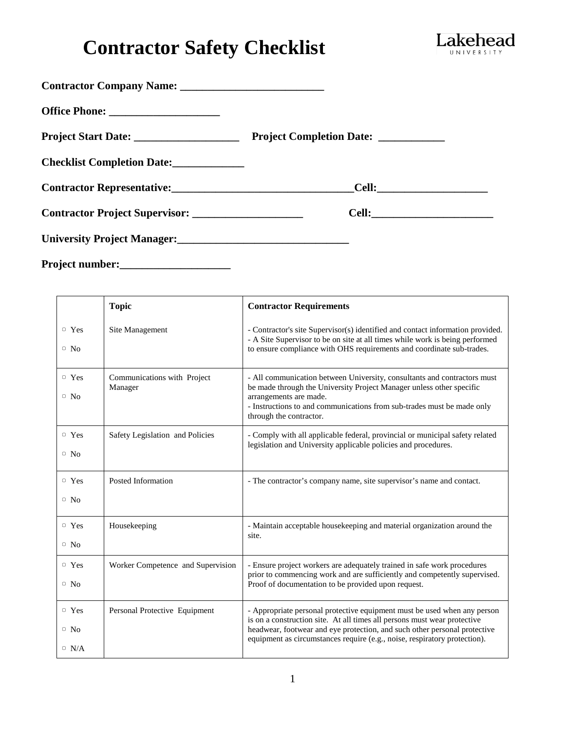# **Contractor Safety Checklist**



|                                       | Project Completion Date: ___________ |  |
|---------------------------------------|--------------------------------------|--|
| Checklist Completion Date:            |                                      |  |
|                                       |                                      |  |
| <b>Contractor Project Supervisor:</b> |                                      |  |
|                                       |                                      |  |
|                                       |                                      |  |

|                                          | <b>Topic</b>                           | <b>Contractor Requirements</b>                                                                                                                                                                                                                                                                                 |
|------------------------------------------|----------------------------------------|----------------------------------------------------------------------------------------------------------------------------------------------------------------------------------------------------------------------------------------------------------------------------------------------------------------|
| $\circ$ Yes<br>$\circ$ No                | Site Management                        | - Contractor's site Supervisor(s) identified and contact information provided.<br>- A Site Supervisor to be on site at all times while work is being performed<br>to ensure compliance with OHS requirements and coordinate sub-trades.                                                                        |
| $\circ$ Yes<br>$\circ$ No                | Communications with Project<br>Manager | - All communication between University, consultants and contractors must<br>be made through the University Project Manager unless other specific<br>arrangements are made.<br>- Instructions to and communications from sub-trades must be made only<br>through the contractor.                                |
| $\circ$ Yes<br>$\circ$ No                | Safety Legislation and Policies        | - Comply with all applicable federal, provincial or municipal safety related<br>legislation and University applicable policies and procedures.                                                                                                                                                                 |
| $\circ$ Yes<br>$\circ$ No                | Posted Information                     | - The contractor's company name, site supervisor's name and contact.                                                                                                                                                                                                                                           |
| $\circ$ Yes<br>$\circ$ No                | Housekeeping                           | - Maintain acceptable housekeeping and material organization around the<br>site.                                                                                                                                                                                                                               |
| $\circ$ Yes<br>$\circ$ No                | Worker Competence and Supervision      | - Ensure project workers are adequately trained in safe work procedures<br>prior to commencing work and are sufficiently and competently supervised.<br>Proof of documentation to be provided upon request.                                                                                                    |
| $\circ$ Yes<br>$\circ$ No<br>$\circ$ N/A | Personal Protective Equipment          | - Appropriate personal protective equipment must be used when any person<br>is on a construction site. At all times all persons must wear protective<br>headwear, footwear and eye protection, and such other personal protective<br>equipment as circumstances require (e.g., noise, respiratory protection). |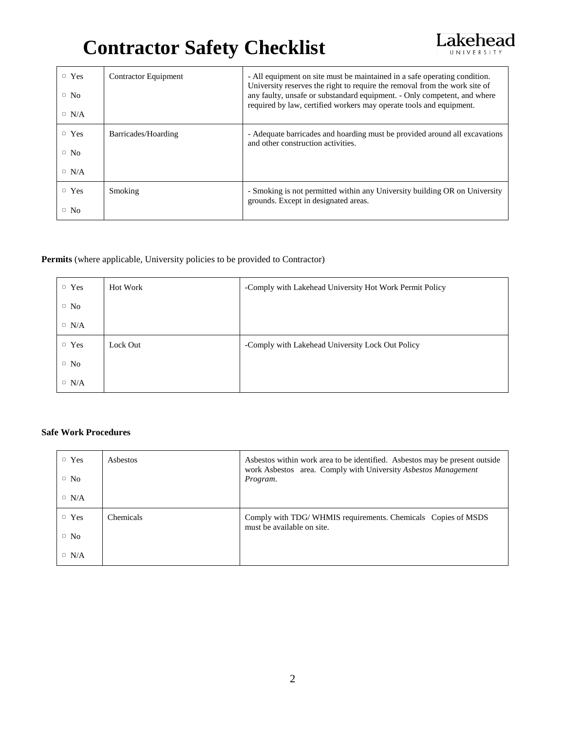## **Contractor Safety Checklist**



| $\Box$ Yes<br>$\circ$ No<br>$\circ$ N/A | <b>Contractor Equipment</b> | - All equipment on site must be maintained in a safe operating condition.<br>University reserves the right to require the removal from the work site of<br>any faulty, unsafe or substandard equipment. - Only competent, and where<br>required by law, certified workers may operate tools and equipment. |
|-----------------------------------------|-----------------------------|------------------------------------------------------------------------------------------------------------------------------------------------------------------------------------------------------------------------------------------------------------------------------------------------------------|
| $\Box$ Yes<br>$\circ$ No<br>$\circ$ N/A | Barricades/Hoarding         | - Adequate barricades and hoarding must be provided around all excavations<br>and other construction activities.                                                                                                                                                                                           |
| $\circ$ Yes<br>$\circ$ No               | Smoking                     | - Smoking is not permitted within any University building OR on University<br>grounds. Except in designated areas.                                                                                                                                                                                         |

### **Permits** (where applicable, University policies to be provided to Contractor)

| $\Box$ Yes  | <b>Hot Work</b> | -Comply with Lakehead University Hot Work Permit Policy |
|-------------|-----------------|---------------------------------------------------------|
| $\circ$ No  |                 |                                                         |
| $\circ$ N/A |                 |                                                         |
| $\Box$ Yes  | Lock Out        | -Comply with Lakehead University Lock Out Policy        |
| $\circ$ No  |                 |                                                         |
| $\circ$ N/A |                 |                                                         |

### **Safe Work Procedures**

| $\Box$ Yes<br>$\circ$ No | Asbestos         | Asbestos within work area to be identified. Asbestos may be present outside<br>work Asbestos area. Comply with University Asbestos Management<br>Program. |
|--------------------------|------------------|-----------------------------------------------------------------------------------------------------------------------------------------------------------|
| $\circ$ N/A              |                  |                                                                                                                                                           |
| $\circ$ Yes              | <b>Chemicals</b> | Comply with TDG/WHMIS requirements. Chemicals Copies of MSDS<br>must be available on site.                                                                |
| $\circ$ No               |                  |                                                                                                                                                           |
| $\circ$ N/A              |                  |                                                                                                                                                           |